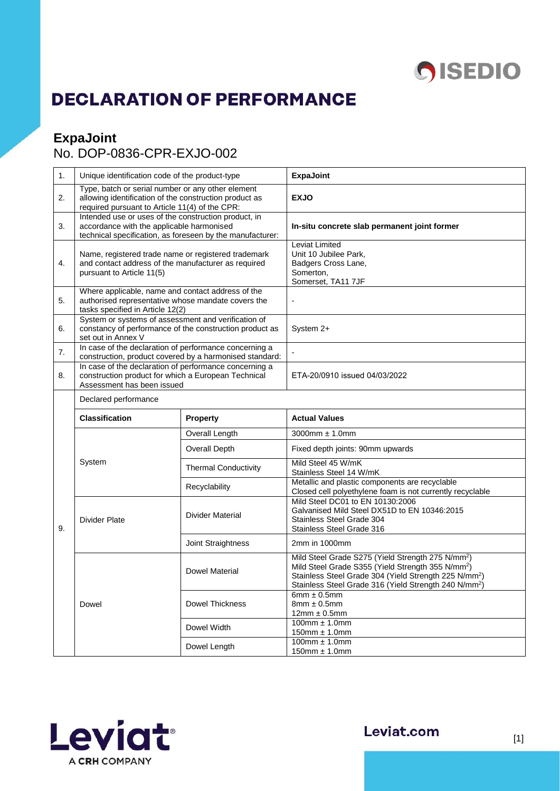

## **DECLARATION OF PERFORMANCE**

## **ExpaJoint**

## No. DOP-0836-CPR-EXJO-002

| 1. | Unique identification code of the product-type                                                                                                                 |                                                         | <b>ExpaJoint</b>                                                                                                                                                                                                                                                         |  |
|----|----------------------------------------------------------------------------------------------------------------------------------------------------------------|---------------------------------------------------------|--------------------------------------------------------------------------------------------------------------------------------------------------------------------------------------------------------------------------------------------------------------------------|--|
| 2. | Type, batch or serial number or any other element<br>allowing identification of the construction product as<br>required pursuant to Article 11(4) of the CPR:  |                                                         | <b>EXJO</b>                                                                                                                                                                                                                                                              |  |
| 3. | Intended use or uses of the construction product, in<br>accordance with the applicable harmonised<br>technical specification, as foreseen by the manufacturer: |                                                         | In-situ concrete slab permanent joint former                                                                                                                                                                                                                             |  |
| 4. | Name, registered trade name or registered trademark<br>and contact address of the manufacturer as required<br>pursuant to Article 11(5)                        |                                                         | Leviat Limited<br>Unit 10 Jubilee Park,<br>Badgers Cross Lane,<br>Somerton,<br>Somerset, TA11 7JF                                                                                                                                                                        |  |
| 5. | Where applicable, name and contact address of the<br>authorised representative whose mandate covers the<br>tasks specified in Article 12(2)                    |                                                         |                                                                                                                                                                                                                                                                          |  |
| 6. | System or systems of assessment and verification of<br>constancy of performance of the construction product as<br>set out in Annex V                           |                                                         | System 2+                                                                                                                                                                                                                                                                |  |
| 7. | In case of the declaration of performance concerning a                                                                                                         | construction, product covered by a harmonised standard: |                                                                                                                                                                                                                                                                          |  |
| 8. | In case of the declaration of performance concerning a<br>construction product for which a European Technical<br>Assessment has been issued                    |                                                         | ETA-20/0910 issued 04/03/2022                                                                                                                                                                                                                                            |  |
|    | Declared performance                                                                                                                                           |                                                         |                                                                                                                                                                                                                                                                          |  |
|    |                                                                                                                                                                |                                                         |                                                                                                                                                                                                                                                                          |  |
|    | <b>Classification</b>                                                                                                                                          | <b>Property</b>                                         | <b>Actual Values</b>                                                                                                                                                                                                                                                     |  |
|    |                                                                                                                                                                | Overall Length                                          | $3000$ mm $\pm$ 1.0mm                                                                                                                                                                                                                                                    |  |
|    |                                                                                                                                                                | Overall Depth                                           | Fixed depth joints: 90mm upwards                                                                                                                                                                                                                                         |  |
|    | System                                                                                                                                                         | <b>Thermal Conductivity</b>                             | Mild Steel 45 W/mK<br>Stainless Steel 14 W/mK                                                                                                                                                                                                                            |  |
|    |                                                                                                                                                                | Recyclability                                           | Metallic and plastic components are recyclable<br>Closed cell polyethylene foam is not currently recyclable                                                                                                                                                              |  |
| 9. | <b>Divider Plate</b>                                                                                                                                           | Divider Material                                        | Mild Steel DC01 to EN 10130:2006<br>Galvanised Mild Steel DX51D to EN 10346:2015<br>Stainless Steel Grade 304<br>Stainless Steel Grade 316                                                                                                                               |  |
|    |                                                                                                                                                                | Joint Straightness                                      | 2mm in 1000mm                                                                                                                                                                                                                                                            |  |
|    |                                                                                                                                                                | <b>Dowel Material</b>                                   | Mild Steel Grade S275 (Yield Strength 275 N/mm <sup>2</sup> )<br>Mild Steel Grade S355 (Yield Strength 355 N/mm <sup>2</sup> )<br>Stainless Steel Grade 304 (Yield Strength 225 N/mm <sup>2</sup> )<br>Stainless Steel Grade 316 (Yield Strength 240 N/mm <sup>2</sup> ) |  |
|    | Dowel                                                                                                                                                          | <b>Dowel Thickness</b>                                  | 6mm $\pm$ 0.5mm<br>$8mm \pm 0.5mm$<br>$12mm \pm 0.5mm$                                                                                                                                                                                                                   |  |
|    |                                                                                                                                                                | Dowel Width                                             | $100$ mm $\pm$ 1.0mm<br>$150$ mm $\pm$ 1.0mm                                                                                                                                                                                                                             |  |



Leviat.com